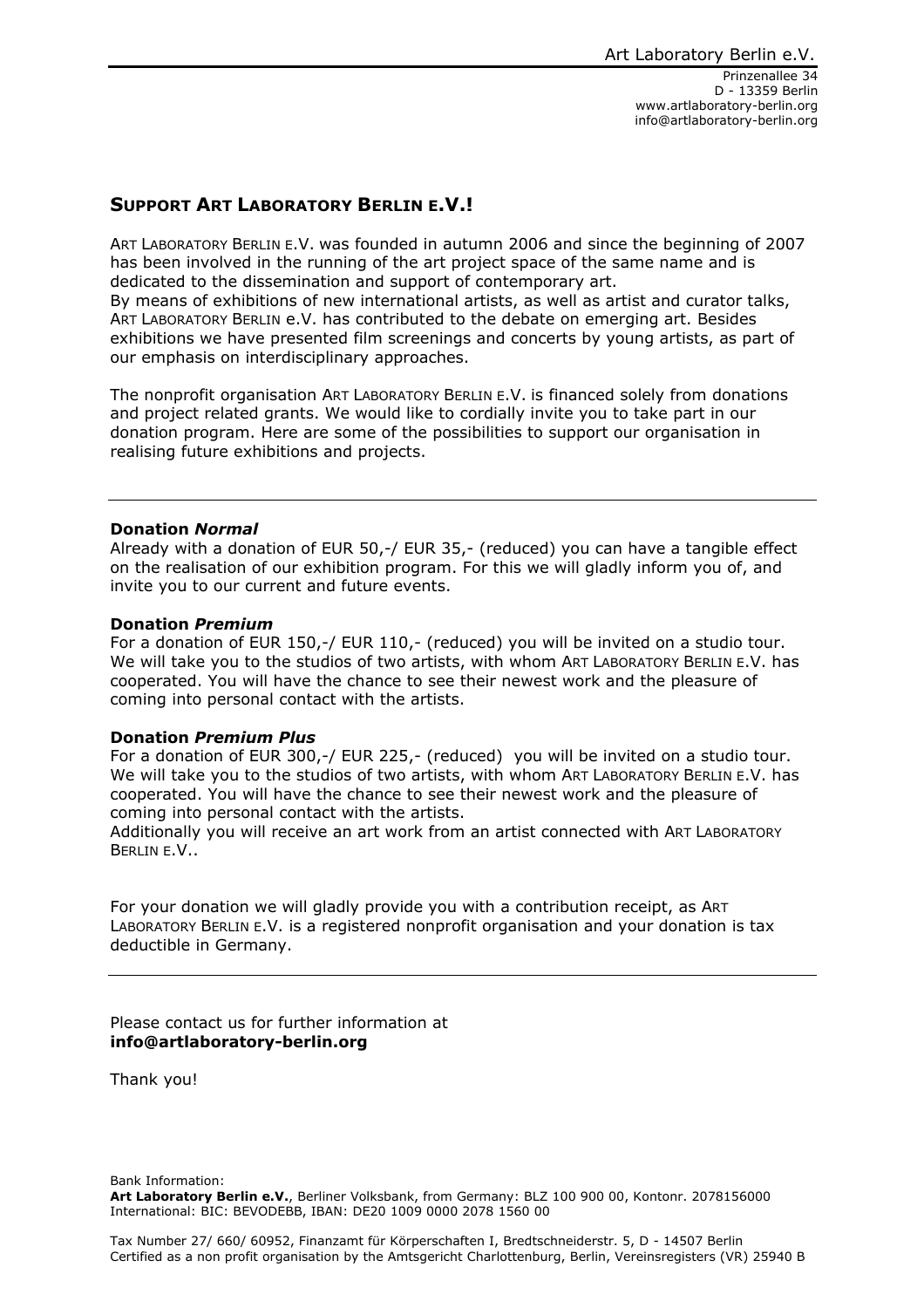Prinzenallee 34 D - 13359 Berlin www.artlaboratory-berlin.org info@artlaboratory-berlin.org

# **SUPPORT ART LABORATORY BERLIN E.V.!**

ART LABORATORY BERLIN E.V. was founded in autumn 2006 and since the beginning of 2007 has been involved in the running of the art project space of the same name and is dedicated to the dissemination and support of contemporary art.

By means of exhibitions of new international artists, as well as artist and curator talks, ART LABORATORY BERLIN e.V. has contributed to the debate on emerging art. Besides exhibitions we have presented film screenings and concerts by young artists, as part of our emphasis on interdisciplinary approaches.

The nonprofit organisation ART LABORATORY BERLIN E.V. is financed solely from donations and project related grants. We would like to cordially invite you to take part in our donation program. Here are some of the possibilities to support our organisation in realising future exhibitions and projects.

#### **Donation** *Normal*

Already with a donation of EUR 50,-/ EUR 35,- (reduced) you can have a tangible effect on the realisation of our exhibition program. For this we will gladly inform you of, and invite you to our current and future events.

#### **Donation** *Premium*

For a donation of EUR 150,-/ EUR 110,- (reduced) you will be invited on a studio tour. We will take you to the studios of two artists, with whom ART LABORATORY BERLIN E.V. has cooperated. You will have the chance to see their newest work and the pleasure of coming into personal contact with the artists.

### **Donation** *Premium Plus*

For a donation of EUR 300,-/ EUR 225,- (reduced) you will be invited on a studio tour. We will take you to the studios of two artists, with whom ART LABORATORY BERLIN E.V. has cooperated. You will have the chance to see their newest work and the pleasure of coming into personal contact with the artists.

Additionally you will receive an art work from an artist connected with ART LABORATORY BERLIN E.V..

For your donation we will gladly provide you with a contribution receipt, as ART LABORATORY BERLIN E.V. is a registered nonprofit organisation and your donation is tax deductible in Germany.

Please contact us for further information at **info@artlaboratory-berlin.org**

Thank you!

Bank Information: **Art Laboratory Berlin e.V.**, Berliner Volksbank, from Germany: BLZ 100 900 00, Kontonr. 2078156000 International: BIC: BEVODEBB, IBAN: DE20 1009 0000 2078 1560 00